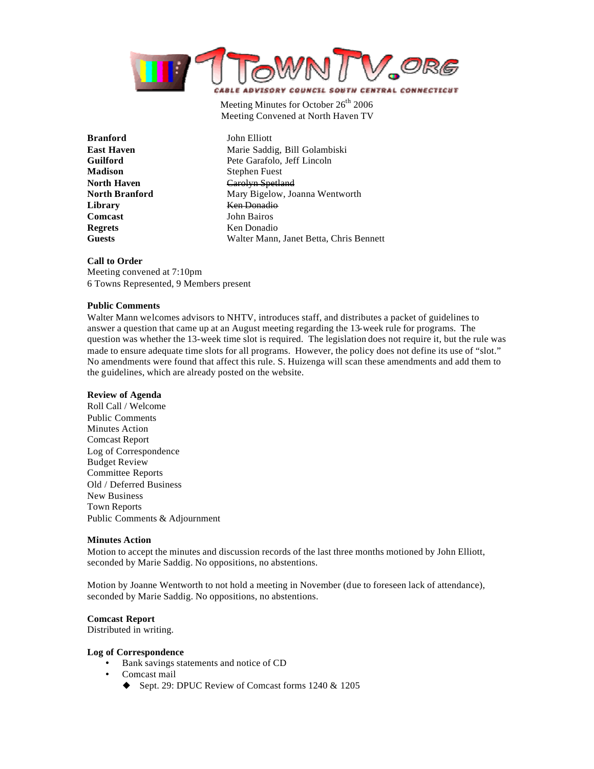

Meeting Minutes for October  $26<sup>th</sup>$  2006 Meeting Convened at North Haven TV

**Branford** John Elliott **Madison** Stephen Fuest **Library** Ken Donadio **Comcast** John Bairos **Regrets** Ken Donadio

**East Haven** Marie Saddig, Bill Golambiski **Guilford** Pete Garafolo, Jeff Lincoln **North Haven** Carolyn Spetland **North Branford** Mary Bigelow, Joanna Wentworth **Guests** Walter Mann, Janet Betta, Chris Bennett

#### **Call to Order**

Meeting convened at 7:10pm 6 Towns Represented, 9 Members present

#### **Public Comments**

Walter Mann welcomes advisors to NHTV, introduces staff, and distributes a packet of guidelines to answer a question that came up at an August meeting regarding the 13-week rule for programs. The question was whether the 13-week time slot is required. The legislation does not require it, but the rule was made to ensure adequate time slots for all programs. However, the policy does not define its use of "slot." No amendments were found that affect this rule. S. Huizenga will scan these amendments and add them to the guidelines, which are already posted on the website.

#### **Review of Agenda**

Roll Call / Welcome Public Comments Minutes Action Comcast Report Log of Correspondence Budget Review Committee Reports Old / Deferred Business New Business Town Reports Public Comments & Adjournment

#### **Minutes Action**

Motion to accept the minutes and discussion records of the last three months motioned by John Elliott, seconded by Marie Saddig. No oppositions, no abstentions.

Motion by Joanne Wentworth to not hold a meeting in November (due to foreseen lack of attendance), seconded by Marie Saddig. No oppositions, no abstentions.

#### **Comcast Report**

Distributed in writing.

#### **Log of Correspondence**

- Bank savings statements and notice of CD
- Comcast mail
	- $\blacklozenge$  Sept. 29: DPUC Review of Comcast forms 1240 & 1205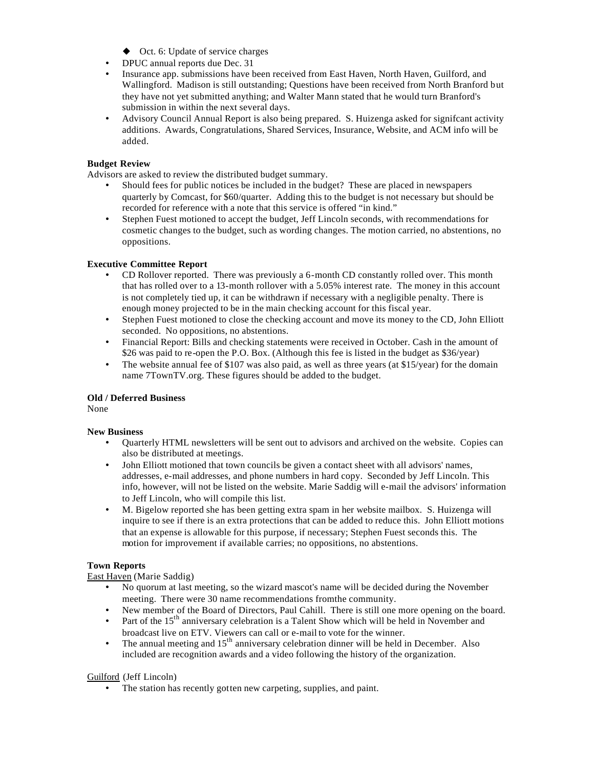- $\blacklozenge$  Oct. 6: Update of service charges
- DPUC annual reports due Dec. 31
- Insurance app. submissions have been received from East Haven, North Haven, Guilford, and Wallingford. Madison is still outstanding; Questions have been received from North Branford but they have not yet submitted anything; and Walter Mann stated that he would turn Branford's submission in within the next several days.
- Advisory Council Annual Report is also being prepared. S. Huizenga asked for significant activity additions. Awards, Congratulations, Shared Services, Insurance, Website, and ACM info will be added.

# **Budget Review**

Advisors are asked to review the distributed budget summary.

- Should fees for public notices be included in the budget? These are placed in newspapers quarterly by Comcast, for \$60/quarter. Adding this to the budget is not necessary but should be recorded for reference with a note that this service is offered "in kind."
- Stephen Fuest motioned to accept the budget, Jeff Lincoln seconds, with recommendations for cosmetic changes to the budget, such as wording changes. The motion carried, no abstentions, no oppositions.

# **Executive Committee Report**

- CD Rollover reported. There was previously a 6-month CD constantly rolled over. This month that has rolled over to a 13-month rollover with a 5.05% interest rate. The money in this account is not completely tied up, it can be withdrawn if necessary with a negligible penalty. There is enough money projected to be in the main checking account for this fiscal year.
- Stephen Fuest motioned to close the checking account and move its money to the CD, John Elliott seconded. No oppositions, no abstentions.
- Financial Report: Bills and checking statements were received in October. Cash in the amount of \$26 was paid to re-open the P.O. Box. (Although this fee is listed in the budget as \$36/year)
- The website annual fee of \$107 was also paid, as well as three years (at \$15/year) for the domain name 7TownTV.org. These figures should be added to the budget.

# **Old / Deferred Business**

None

# **New Business**

- Quarterly HTML newsletters will be sent out to advisors and archived on the website. Copies can also be distributed at meetings.
- John Elliott motioned that town councils be given a contact sheet with all advisors' names, addresses, e-mail addresses, and phone numbers in hard copy. Seconded by Jeff Lincoln. This info, however, will not be listed on the website. Marie Saddig will e-mail the advisors' information to Jeff Lincoln, who will compile this list.
- M. Bigelow reported she has been getting extra spam in her website mailbox. S. Huizenga will inquire to see if there is an extra protections that can be added to reduce this. John Elliott motions that an expense is allowable for this purpose, if necessary; Stephen Fuest seconds this. The motion for improvement if available carries; no oppositions, no abstentions.

# **Town Reports**

East Haven (Marie Saddig)

- No quorum at last meeting, so the wizard mascot's name will be decided during the November meeting. There were 30 name recommendations from the community.
- New member of the Board of Directors, Paul Cahill. There is still one more opening on the board.
- Part of the 15<sup>th</sup> anniversary celebration is a Talent Show which will be held in November and broadcast live on ETV. Viewers can call or e-mail to vote for the winner.
- The annual meeting and  $15<sup>th</sup>$  anniversary celebration dinner will be held in December. Also included are recognition awards and a video following the history of the organization.

# Guilford (Jeff Lincoln)

• The station has recently gotten new carpeting, supplies, and paint.